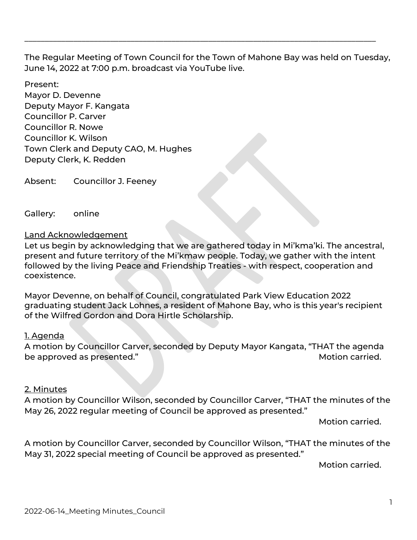The Regular Meeting of Town Council for the Town of Mahone Bay was held on Tuesday, June 14, 2022 at 7:00 p.m. broadcast via YouTube live.

\_\_\_\_\_\_\_\_\_\_\_\_\_\_\_\_\_\_\_\_\_\_\_\_\_\_\_\_\_\_\_\_\_\_\_\_\_\_\_\_\_\_\_\_\_\_\_\_\_\_\_\_\_\_\_\_\_\_\_\_\_\_\_\_\_\_\_\_\_\_\_\_\_\_\_\_\_\_\_\_\_\_\_\_\_\_

Present: Mayor D. Devenne Deputy Mayor F. Kangata Councillor P. Carver Councillor R. Nowe Councillor K. Wilson Town Clerk and Deputy CAO, M. Hughes Deputy Clerk, K. Redden

Absent: Councillor J. Feeney

Gallery: online

#### Land Acknowledgement

Let us begin by acknowledging that we are gathered today in Mi'kma'ki. The ancestral, present and future territory of the Mi'kmaw people. Today, we gather with the intent followed by the living Peace and Friendship Treaties - with respect, cooperation and coexistence.

Mayor Devenne, on behalf of Council, congratulated Park View Education 2022 graduating student Jack Lohnes, a resident of Mahone Bay, who is this year's recipient of the Wilfred Gordon and Dora Hirtle Scholarship.

#### 1. Agenda

A motion by Councillor Carver, seconded by Deputy Mayor Kangata, "THAT the agenda be approved as presented." The same state of the set of the Motion carried.

#### 2. Minutes

A motion by Councillor Wilson, seconded by Councillor Carver, "THAT the minutes of the May 26, 2022 regular meeting of Council be approved as presented."

Motion carried.

A motion by Councillor Carver, seconded by Councillor Wilson, "THAT the minutes of the May 31, 2022 special meeting of Council be approved as presented."

Motion carried.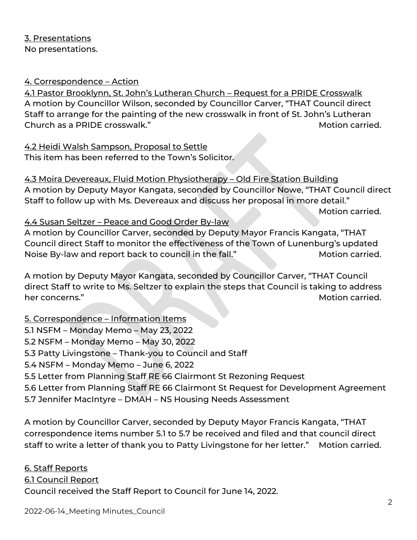#### 4. Correspondence – Action

4.1 Pastor Brooklynn, St. John's Lutheran Church – Request for a PRIDE Crosswalk A motion by Councillor Wilson, seconded by Councillor Carver, "THAT Council direct Staff to arrange for the painting of the new crosswalk in front of St. John's Lutheran Church as a PRIDE crosswalk." The controller was a probably carried.

4.2 Heidi Walsh Sampson, Proposal to Settle This item has been referred to the Town's Solicitor.

4.3 Moira Devereaux, Fluid Motion Physiotherapy – Old Fire Station Building A motion by Deputy Mayor Kangata, seconded by Councillor Nowe, "THAT Council direct Staff to follow up with Ms. Devereaux and discuss her proposal in more detail."

Motion carried.

#### 4.4 Susan Seltzer – Peace and Good Order By-law

A motion by Councillor Carver, seconded by Deputy Mayor Francis Kangata, "THAT Council direct Staff to monitor the effectiveness of the Town of Lunenburg's updated Noise By-law and report back to council in the fall." Motion carried.

A motion by Deputy Mayor Kangata, seconded by Councillor Carver, "THAT Council direct Staff to write to Ms. Seltzer to explain the steps that Council is taking to address her concerns." Motion carried.

# 5. Correspondence – Information Items

- 5.1 NSFM Monday Memo May 23, 2022
- 5.2 NSFM Monday Memo May 30, 2022
- 5.3 Patty Livingstone Thank-you to Council and Staff
- 5.4 NSFM Monday Memo June 6, 2022
- 5.5 Letter from Planning Staff RE 66 Clairmont St Rezoning Request
- 5.6 Letter from Planning Staff RE 66 Clairmont St Request for Development Agreement
- 5.7 Jennifer MacIntyre DMAH NS Housing Needs Assessment

A motion by Councillor Carver, seconded by Deputy Mayor Francis Kangata, "THAT correspondence items number 5.1 to 5.7 be received and filed and that council direct staff to write a letter of thank you to Patty Livingstone for her letter." Motion carried.

6. Staff Reports 6.1 Council Report Council received the Staff Report to Council for June 14, 2022.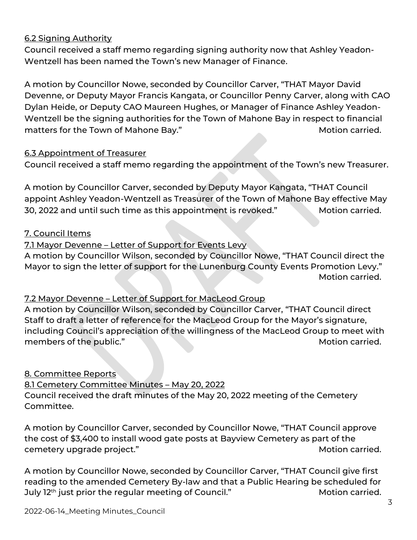# 6.2 Signing Authority

Council received a staff memo regarding signing authority now that Ashley Yeadon-Wentzell has been named the Town's new Manager of Finance.

A motion by Councillor Nowe, seconded by Councillor Carver, "THAT Mayor David Devenne, or Deputy Mayor Francis Kangata, or Councillor Penny Carver, along with CAO Dylan Heide, or Deputy CAO Maureen Hughes, or Manager of Finance Ashley Yeadon-Wentzell be the signing authorities for the Town of Mahone Bay in respect to financial matters for the Town of Mahone Bay." The Controller of Motion carried.

# 6.3 Appointment of Treasurer

Council received a staff memo regarding the appointment of the Town's new Treasurer.

A motion by Councillor Carver, seconded by Deputy Mayor Kangata, "THAT Council appoint Ashley Yeadon-Wentzell as Treasurer of the Town of Mahone Bay effective May 30, 2022 and until such time as this appointment is revoked." Motion carried.

# 7. Council Items

# 7.1 Mayor Devenne – Letter of Support for Events Levy

A motion by Councillor Wilson, seconded by Councillor Nowe, "THAT Council direct the Mayor to sign the letter of support for the Lunenburg County Events Promotion Levy." Motion carried.

# 7.2 Mayor Devenne – Letter of Support for MacLeod Group

A motion by Councillor Wilson, seconded by Councillor Carver, "THAT Council direct Staff to draft a letter of reference for the MacLeod Group for the Mayor's signature, including Council's appreciation of the willingness of the MacLeod Group to meet with members of the public." The state of the public."

# 8. Committee Reports

8.1 Cemetery Committee Minutes – May 20, 2022 Council received the draft minutes of the May 20, 2022 meeting of the Cemetery

Committee.

A motion by Councillor Carver, seconded by Councillor Nowe, "THAT Council approve the cost of \$3,400 to install wood gate posts at Bayview Cemetery as part of the cemetery upgrade project." The contract of the contract of the Motion carried.

A motion by Councillor Nowe, seconded by Councillor Carver, "THAT Council give first reading to the amended Cemetery By-law and that a Public Hearing be scheduled for July 12<sup>th</sup> just prior the regular meeting of Council." Motion carried.